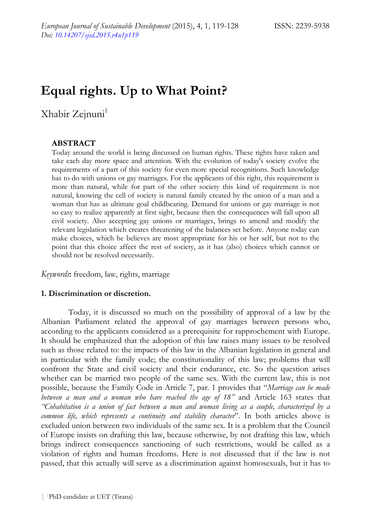# **Equal rights. Up to What Point?**

Xhabir Zejnuni<sup>1</sup>

#### **ABSTRACT**

Today around the world is being discussed on human rights. These rights have taken and take each day more space and attention. With the evolution of today's society evolve the requirements of a part of this society for even more special recognitions. Such knowledge has to do with unions or gay marriages. For the applicants of this right, this requirement is more than natural, while for part of the other society this kind of requirement is not natural, knowing the cell of society is natural family created by the union of a man and a woman that has as ultimate goal childbearing. Demand for unions or gay marriage is not so easy to realize apparently at first sight, because then the consequences will fall upon all civil society. Also accepting gay unions or marriages, brings to amend and modify the relevant legislation which creates threatening of the balances set before. Anyone today can make choices, which he believes are most appropriate for his or her self, but not to the point that this choice affect the rest of society, as it has (also) choices which cannot or should not be resolved necessarily.

*Keywords***:** freedom, law, rights, marriage

#### **1. Discrimination or discretion.**

Today, it is discussed so much on the possibility of approval of a law by the Albanian Parliament related the approval of gay marriages between persons who, according to the applicants considered as a prerequisite for rapprochement with Europe. It should be emphasized that the adoption of this law raises many issues to be resolved such as those related to: the impacts of this law in the Albanian legislation in general and in particular with the family code; the constitutionality of this law; problems that will confront the State and civil society and their endurance, etc. So the question arises whether can be married two people of the same sex. With the current law, this is not possible, because the Family Code in Article 7, par. 1 provides that "*Marriage can be made between a man and a woman who have reached the age of 18"* and Article 163 states that *"Cohabitation is a union of fact between a man and woman living as a couple, characterized by a common life, which represents a continuity and stability character*". In both articles above is excluded union between two individuals of the same sex. It is a problem that the Council of Europe insists on drafting this law, because otherwise, by not drafting this law, which brings indirect consequences sanctioning of such restrictions, would be called as a violation of rights and human freedoms. Here is not discussed that if the law is not passed, that this actually will serve as a discrimination against homosexuals, but it has to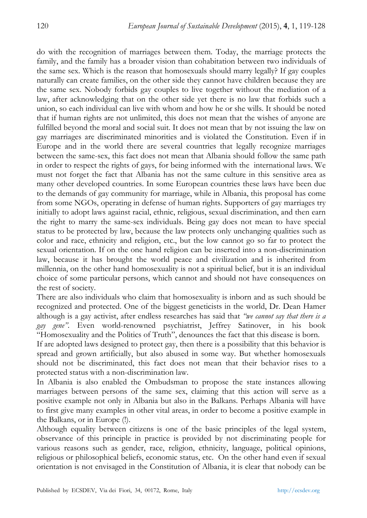do with the recognition of marriages between them. Today, the marriage protects the family, and the family has a broader vision than cohabitation between two individuals of the same sex. Which is the reason that homosexuals should marry legally? If gay couples naturally can create families, on the other side they cannot have children because they are the same sex. Nobody forbids gay couples to live together without the mediation of a law, after acknowledging that on the other side yet there is no law that forbids such a union, so each individual can live with whom and how he or she wills. It should be noted that if human rights are not unlimited, this does not mean that the wishes of anyone are fulfilled beyond the moral and social suit. It does not mean that by not issuing the law on gay marriages are discriminated minorities and is violated the Constitution. Even if in Europe and in the world there are several countries that legally recognize marriages between the same-sex, this fact does not mean that Albania should follow the same path in order to respect the rights of gays, for being informed with the international laws. We must not forget the fact that Albania has not the same culture in this sensitive area as many other developed countries. In some European countries these laws have been due to the demands of gay community for marriage, while in Albania, this proposal has come from some NGOs, operating in defense of human rights. Supporters of gay marriages try initially to adopt laws against racial, ethnic, religious, sexual discrimination, and then earn the right to marry the same-sex individuals. Being gay does not mean to have special status to be protected by law, because the law protects only unchanging qualities such as color and race, ethnicity and religion, etc., but the low cannot go so far to protect the sexual orientation. If on the one hand religion can be inserted into a non-discrimination law, because it has brought the world peace and civilization and is inherited from millennia, on the other hand homosexuality is not a spiritual belief, but it is an individual choice of some particular persons, which cannot and should not have consequences on the rest of society.

There are also individuals who claim that homosexuality is inborn and as such should be recognized and protected. One of the biggest geneticists in the world, Dr. Dean Hamer although is a gay activist, after endless researches has said that *"we cannot say that there is a gay gene"*. Even world-renowned psychiatrist, Jeffrey Satinover, in his book "Homosexuality and the Politics of Truth", denounces the fact that this disease is born.

If are adopted laws designed to protect gay, then there is a possibility that this behavior is spread and grown artificially, but also abused in some way. But whether homosexuals should not be discriminated, this fact does not mean that their behavior rises to a protected status with a non-discrimination law.

In Albania is also enabled the Ombudsman to propose the state instances allowing marriages between persons of the same sex, claiming that this action will serve as a positive example not only in Albania but also in the Balkans. Perhaps Albania will have to first give many examples in other vital areas, in order to become a positive example in the Balkans, or in Europe (!).

Although equality between citizens is one of the basic principles of the legal system, observance of this principle in practice is provided by not discriminating people for various reasons such as gender, race, religion, ethnicity, language, political opinions, religious or philosophical beliefs, economic status, etc. On the other hand even if sexual orientation is not envisaged in the Constitution of Albania, it is clear that nobody can be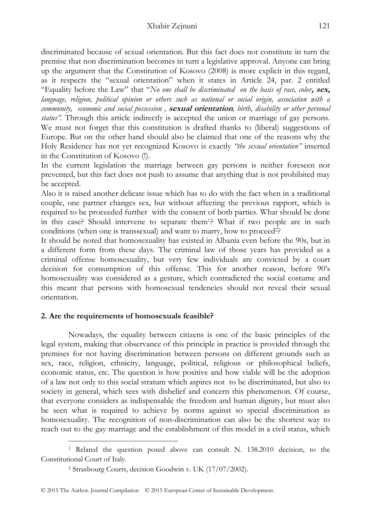discriminated because of sexual orientation. But this fact does not constitute in turn the premise that non discrimination becomes in turn a legislative approval. Anyone can bring up the argument that the Constitution of Kosovo (2008) is more explicit in this regard, as it respects the "sexual orientation" when it states in Article 24, par. 2 entitled "Equality before the Law" that "*No one shall be discriminated on the basis of race, color***, sex,** *language, religion, political opinion or others such as national or social origin, association with a community, economic and social possession ,* **sexual orientation***, birth, disability or other personal status".* Through this article indirectly is accepted the union or marriage of gay persons. We must not forget that this constitution is drafted thanks to (liberal) suggestions of Europe. But on the other hand should also be claimed that one of the reasons why the Holy Residence has not yet recognized Kosovo is exactly *"the sexual orientation"* inserted in the Constitution of Kosovo (!).

In the current legislation the marriage between gay persons is neither foreseen nor prevented, but this fact does not push to assume that anything that is not prohibited may be accepted.

Also it is raised another delicate issue which has to do with the fact when in a traditional couple, one partner changes sex, but without affecting the previous rapport, which is required to be proceeded further with the consent of both parties. What should be done in this case? Should intervene to separate them1? What if two people are in such conditions (when one is transsexual) and want to marry, how to proceed<sup>2</sup>?

It should be noted that homosexuality has existed in Albania even before the 90s, but in a different form from these days. The criminal law of those years has provided as a criminal offense homosexuality, but very few individuals are convicted by a court decision for consumption of this offense. This for another reason, before 90's homosexuality was considered as a gesture, which contradicted the social costume and this meant that persons with homosexual tendencies should not reveal their sexual orientation.

## **2. Are the requirements of homosexuals feasible?**

 $\overline{a}$ 

Nowadays, the equality between citizens is one of the basic principles of the legal system, making that observance of this principle in practice is provided through the premises for not having discrimination between persons on different grounds such as sex, race, religion, ethnicity, language, political, religious or philosophical beliefs, economic status, etc. The question is how positive and how viable will be the adoption of a law not only to this social stratum which aspires not to be discriminated, but also to society in general, which sees with disbelief and concern this phenomenon. Of course, that everyone considers as indispensable the freedom and human dignity, but must also be seen what is required to achieve by norms against so special discrimination as homosexuality. The recognition of non-discrimination can also be the shortest way to reach out to the gay marriage and the establishment of this model in a civil status, which

<sup>1</sup> Related the question posed above can consult N. 138.2010 decision, to the Constitutional Court of Italy.

<sup>2</sup> Strasbourg Courts, decision Goodwin v. UK (17/07/2002).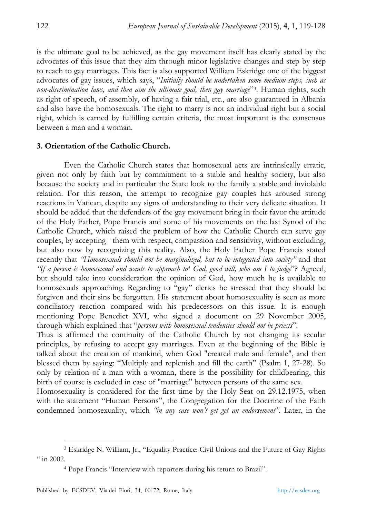is the ultimate goal to be achieved, as the gay movement itself has clearly stated by the advocates of this issue that they aim through minor legislative changes and step by step to reach to gay marriages. This fact is also supported William Eskridge one of the biggest advocates of gay issues, which says, "*Initially should be undertaken some medium steps, such as non-discrimination laws, and then aim the ultimate goal, then gay marriage*"3. Human rights, such as right of speech, of assembly, of having a fair trial, etc., are also guaranteed in Albania and also have the homosexuals. The right to marry is not an individual right but a social right, which is earned by fulfilling certain criteria, the most important is the consensus between a man and a woman.

#### **3. Orientation of the Catholic Church.**

Even the Catholic Church states that homosexual acts are intrinsically erratic, given not only by faith but by commitment to a stable and healthy society, but also because the society and in particular the State look to the family a stable and inviolable relation. For this reason, the attempt to recognize gay couples has aroused strong reactions in Vatican, despite any signs of understanding to their very delicate situation. It should be added that the defenders of the gay movement bring in their favor the attitude of the Holy Father, Pope Francis and some of his movements on the last Synod of the Catholic Church, which raised the problem of how the Catholic Church can serve gay couples, by accepting them with respect, compassion and sensitivity, without excluding, but also now by recognizing this reality. Also, the Holy Father Pope Francis stated recently that *"Homosexuals should not be marginalized, but to be integrated into society"* and that *"If a person is homosexual and wants to approach to4 God, good will, who am I to judge*"? Agreed, but should take into consideration the opinion of God, how much he is available to homosexuals approaching. Regarding to "gay" clerics he stressed that they should be forgiven and their sins be forgotten. His statement about homosexuality is seen as more conciliatory reaction compared with his predecessors on this issue. It is enough mentioning Pope Benedict XVI, who signed a document on 29 November 2005, through which explained that "*persons with homosexual tendencies should not be priests*".

Thus is affirmed the continuity of the Catholic Church by not changing its secular principles, by refusing to accept gay marriages. Even at the beginning of the Bible is talked about the creation of mankind, when God "created male and female", and then blessed them by saying: "Multiply and replenish and fill the earth" (Psalm 1, 27-28). So only by relation of a man with a woman, there is the possibility for childbearing, this birth of course is excluded in case of "marriage" between persons of the same sex.

Homosexuality is considered for the first time by the Holy Seat on 29.12.1975, when with the statement "Human Persons", the Congregation for the Doctrine of the Faith condemned homosexuality, which *"in any case won't get get an endorsement"*. Later, in the

<sup>3</sup> Eskridge N. William, Jr., "Equality Practice: Civil Unions and the Future of Gay Rights  $\frac{4}{1}$  in 2002.

<sup>4</sup> Pope Francis "Interview with reporters during his return to Brazil".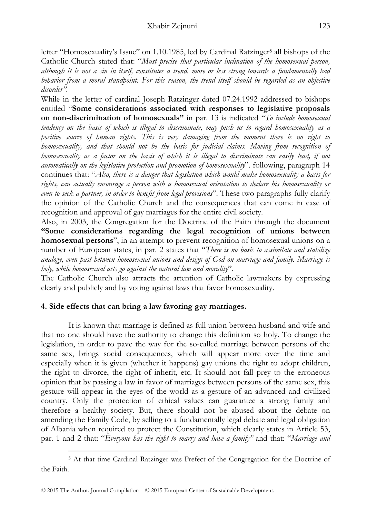letter "Homosexuality's Issue" on 1.10.1985, led by Cardinal Ratzinger<sup>5</sup> all bishops of the Catholic Church stated that: "*Must precise that particular inclination of the homosexual person, although it is not a sin in itself, constitutes a trend, more or less strong towards a fundamentally bad behavior from a moral standpoint. For this reason, the trend itself should be regarded as an objective disorder".* 

While in the letter of cardinal Joseph Ratzinger dated 07.24.1992 addressed to bishops entitled "**Some considerations associated with responses to legislative proposals on non-discrimination of homosexuals"** in par. 13 is indicated "*To include homosexual tendency on the basis of which is illegal to discriminate, may push us to regard homosexuality as a positive source of human rights. This is very damaging from the moment there is no right to homosexuality, and that should not be the basis for judicial claims. Moving from recognition of homosexuality as a factor on the basis of which it is illegal to discriminate can easily lead, if not automatically on the legislative protection and promotion of homosexuality*". following, paragraph 14 continues that: "*Also, there is a danger that legislation which would make homosexuality a basis for rights, can actually encourage a person with a homosexual orientation to declare his homosexuality or even to seek a partner, in order to benefit from legal provisions*". These two paragraphs fully clarify the opinion of the Catholic Church and the consequences that can come in case of recognition and approval of gay marriages for the entire civil society.

Also, in 2003, the Congregation for the Doctrine of the Faith through the document **"Some considerations regarding the legal recognition of unions between homosexual persons**", in an attempt to prevent recognition of homosexual unions on a number of European states, in par. 2 states that "*There is no basis to assimilate and stabilize analogy, even past between homosexual unions and design of God on marriage and family. Marriage is holy, while homosexual acts go against the natural law and morality*".

The Catholic Church also attracts the attention of Catholic lawmakers by expressing clearly and publicly and by voting against laws that favor homosexuality.

## **4. Side effects that can bring a law favoring gay marriages.**

It is known that marriage is defined as full union between husband and wife and that no one should have the authority to change this definition so holy. To change the legislation, in order to pave the way for the so-called marriage between persons of the same sex, brings social consequences, which will appear more over the time and especially when it is given (whether it happens) gay unions the right to adopt children, the right to divorce, the right of inherit, etc. It should not fall prey to the erroneous opinion that by passing a law in favor of marriages between persons of the same sex, this gesture will appear in the eyes of the world as a gesture of an advanced and civilized country. Only the protection of ethical values can guarantee a strong family and therefore a healthy society. But, there should not be abused about the debate on amending the Family Code, by selling to a fundamentally legal debate and legal obligation of Albania when required to protect the Constitution, which clearly states in Article 53, par. 1 and 2 that: "*Everyone has the right to marry and have a family"* and that: "*Marriage and* 

 $\overline{a}$ 5 At that time Cardinal Ratzinger was Prefect of the Congregation for the Doctrine of the Faith.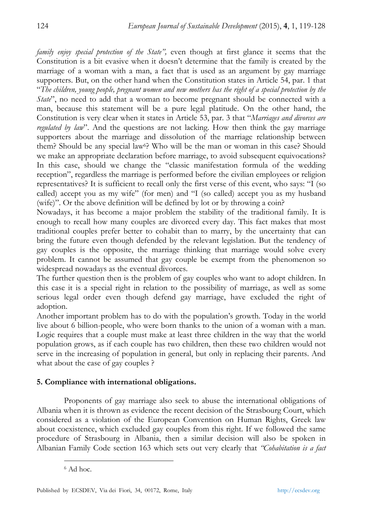*family enjoy special protection of the State",* even though at first glance it seems that the Constitution is a bit evasive when it doesn't determine that the family is created by the marriage of a woman with a man, a fact that is used as an argument by gay marriage supporters. But, on the other hand when the Constitution states in Article 54, par. 1 that "*The children, young people, pregnant women and new mothers has the right of a special protection by the State*", no need to add that a woman to become pregnant should be connected with a man, because this statement will be a pure legal platitude. On the other hand, the Constitution is very clear when it states in Article 53, par. 3 that "*Marriages and divorces are regulated by law*". And the questions are not lacking. How then think the gay marriage supporters about the marriage and dissolution of the marriage relationship between them? Should be any special law<sup>6</sup>? Who will be the man or woman in this case? Should we make an appropriate declaration before marriage, to avoid subsequent equivocations? In this case, should we change the "classic manifestation formula of the wedding reception", regardless the marriage is performed before the civilian employees or religion representatives? It is sufficient to recall only the first verse of this event, who says: "I (so called) accept you as my wife" (for men) and "I (so called) accept you as my husband (wife)". Or the above definition will be defined by lot or by throwing a coin?

Nowadays, it has become a major problem the stability of the traditional family. It is enough to recall how many couples are divorced every day. This fact makes that most traditional couples prefer better to cohabit than to marry, by the uncertainty that can bring the future even though defended by the relevant legislation. But the tendency of gay couples is the opposite, the marriage thinking that marriage would solve every problem. It cannot be assumed that gay couple be exempt from the phenomenon so widespread nowadays as the eventual divorces.

The further question then is the problem of gay couples who want to adopt children. In this case it is a special right in relation to the possibility of marriage, as well as some serious legal order even though defend gay marriage, have excluded the right of adoption.

Another important problem has to do with the population's growth. Today in the world live about 6 billion-people, who were born thanks to the union of a woman with a man. Logic requires that a couple must make at least three children in the way that the world population grows, as if each couple has two children, then these two children would not serve in the increasing of population in general, but only in replacing their parents. And what about the case of gay couples ?

## **5. Compliance with international obligations.**

Proponents of gay marriage also seek to abuse the international obligations of Albania when it is thrown as evidence the recent decision of the Strasbourg Court, which considered as a violation of the European Convention on Human Rights, Greek law about coexistence, which excluded gay couples from this right. If we followed the same procedure of Strasbourg in Albania, then a similar decision will also be spoken in Albanian Family Code section 163 which sets out very clearly that *"Cohabitation is a fact* 

<sup>6</sup> Ad hoc.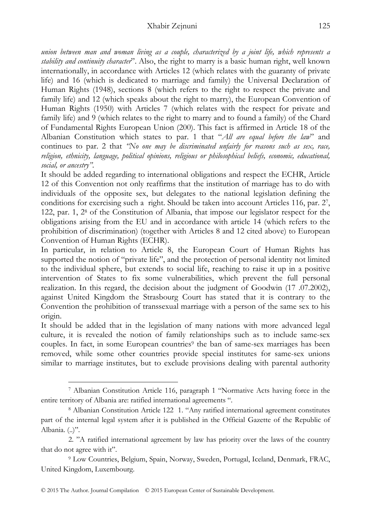#### Xhabir Zejnuni 125

*union between man and woman living as a couple, characterized by a joint life, which represents a stability and continuity character*". Also, the right to marry is a basic human right, well known internationally, in accordance with Articles 12 (which relates with the guaranty of private life) and 16 (which is dedicated to marriage and family) the Universal Declaration of Human Rights (1948), sections 8 (which refers to the right to respect the private and family life) and 12 (which speaks about the right to marry), the European Convention of Human Rights (1950) with Articles 7 (which relates with the respect for private and family life) and 9 (which relates to the right to marry and to found a family) of the Chard of Fundamental Rights European Union (200). This fact is affirmed in Article 18 of the Albanian Constitution which states to par. 1 that "*All are equal before the law*" and continues to par. 2 that *"No one may be discriminated unfairly for reasons such as sex, race, religion, ethnicity, language, political opinions, religious or philosophical beliefs, economic, educational, social, or ancestry"*.

It should be added regarding to international obligations and respect the ECHR, Article 12 of this Convention not only reaffirms that the institution of marriage has to do with individuals of the opposite sex, but delegates to the national legislation defining the conditions for exercising such a right. Should be taken into account Articles 116, par. 27, 122, par. 1, 28 of the Constitution of Albania, that impose our legislator respect for the obligations arising from the EU and in accordance with article 14 (which refers to the prohibition of discrimination) (together with Articles 8 and 12 cited above) to European Convention of Human Rights (ECHR).

In particular, in relation to Article 8, the European Court of Human Rights has supported the notion of "private life", and the protection of personal identity not limited to the individual sphere, but extends to social life, reaching to raise it up in a positive intervention of States to fix some vulnerabilities, which prevent the full personal realization. In this regard, the decision about the judgment of Goodwin (17 .07.2002), against United Kingdom the Strasbourg Court has stated that it is contrary to the Convention the prohibition of transsexual marriage with a person of the same sex to his origin.

It should be added that in the legislation of many nations with more advanced legal culture, it is revealed the notion of family relationships such as to include same-sex couples. In fact, in some European countries<sup>9</sup> the ban of same-sex marriages has been removed, while some other countries provide special institutes for same-sex unions similar to marriage institutes, but to exclude provisions dealing with parental authority

<sup>7</sup> Albanian Constitution Article 116, paragraph 1 "Normative Acts having force in the entire territory of Albania are: ratified international agreements ".

<sup>8</sup> Albanian Constitution Article 122 1. "Any ratified international agreement constitutes part of the internal legal system after it is published in the Official Gazette of the Republic of Albania. (..)".

<sup>2. &</sup>quot;A ratified international agreement by law has priority over the laws of the country that do not agree with it".

<sup>9</sup> Low Countries, Belgium, Spain, Norway, Sweden, Portugal, Iceland, Denmark, FRAC, United Kingdom, Luxembourg.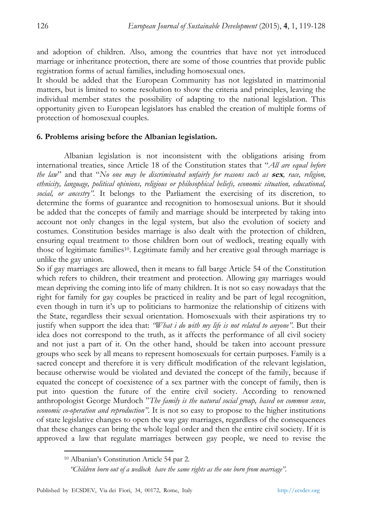and adoption of children. Also, among the countries that have not yet introduced marriage or inheritance protection, there are some of those countries that provide public registration forms of actual families, including homosexual ones.

It should be added that the European Community has not legislated in matrimonial matters, but is limited to some resolution to show the criteria and principles, leaving the individual member states the possibility of adapting to the national legislation. This opportunity given to European legislators has enabled the creation of multiple forms of protection of homosexual couples.

## **6. Problems arising before the Albanian legislation.**

Albanian legislation is not inconsistent with the obligations arising from international treaties, since Article 18 of the Constitution states that "*All are equal before the law*" and that "*No one may be discriminated unfairly for reasons such as* **sex***, race, religion, ethnicity, language, political opinions, religious or philosophical beliefs, economic situation, educational, social, or ancestry".* It belongs to the Parliament the exercising of its discretion, to determine the forms of guarantee and recognition to homosexual unions. But it should be added that the concepts of family and marriage should be interpreted by taking into account not only changes in the legal system, but also the evolution of society and costumes. Constitution besides marriage is also dealt with the protection of children, ensuring equal treatment to those children born out of wedlock, treating equally with those of legitimate families10. Legitimate family and her creative goal through marriage is unlike the gay union.

So if gay marriages are allowed, then it means to fall barge Article 54 of the Constitution which refers to children, their treatment and protection. Allowing gay marriages would mean depriving the coming into life of many children. It is not so easy nowadays that the right for family for gay couples be practiced in reality and be part of legal recognition, even though in turn it's up to politicians to harmonize the relationship of citizens with the State, regardless their sexual orientation. Homosexuals with their aspirations try to justify when support the idea that: *"What i do with my life is not related to anyone"*. But their idea does not correspond to the truth, as it affects the performance of all civil society and not just a part of it. On the other hand, should be taken into account pressure groups who seek by all means to represent homosexuals for certain purposes. Family is a sacred concept and therefore it is very difficult modification of the relevant legislation, because otherwise would be violated and deviated the concept of the family, because if equated the concept of coexistence of a sex partner with the concept of family, then is put into question the future of the entire civil society. According to renowned anthropologist George Murdoch "*The family is the natural social group, based on common sense, economic co-operation and reproduction"*. It is not so easy to propose to the higher institutions of state legislative changes to open the way gay marriages, regardless of the consequences that these changes can bring the whole legal order and then the entire civil society. If it is approved a law that regulate marriages between gay people, we need to revise the

<sup>10</sup> Albanian's Constitution Article 54 par 2.

*"Children born out of a wedlock have the same rights as the one born from marriage"*.